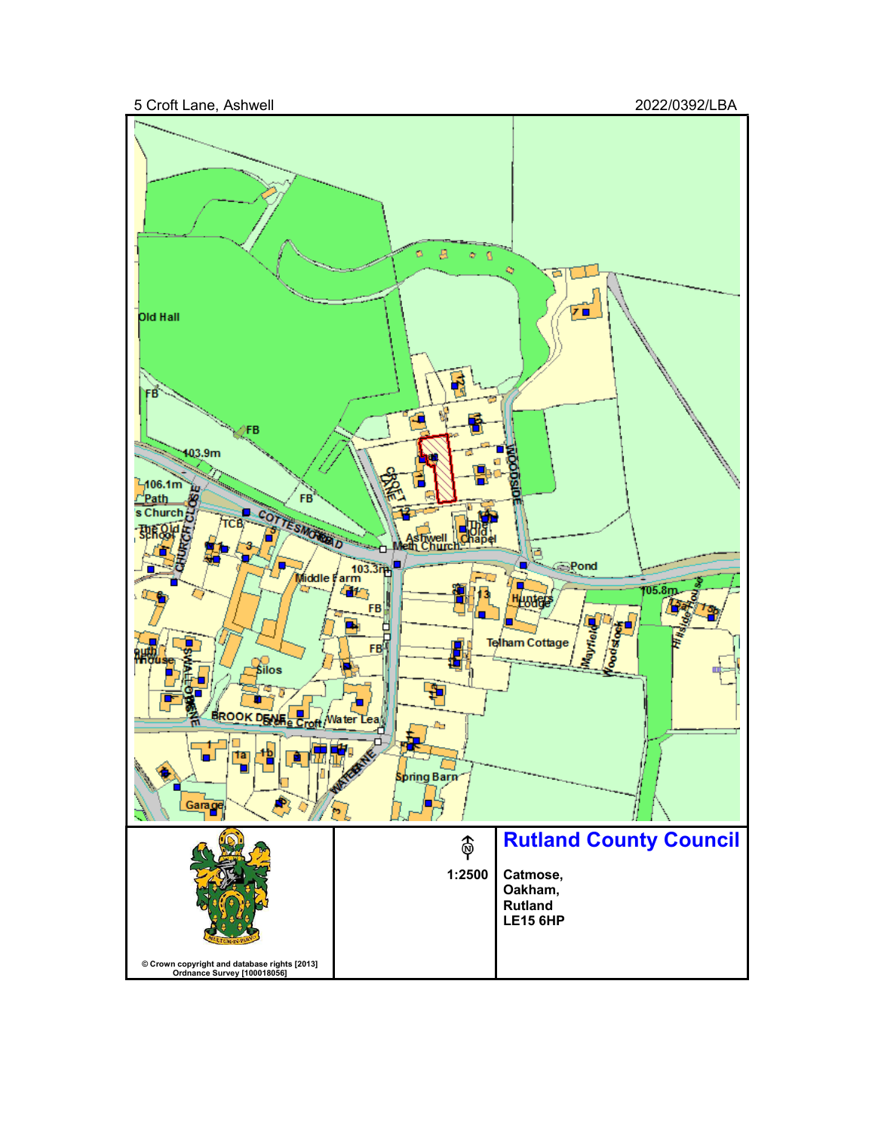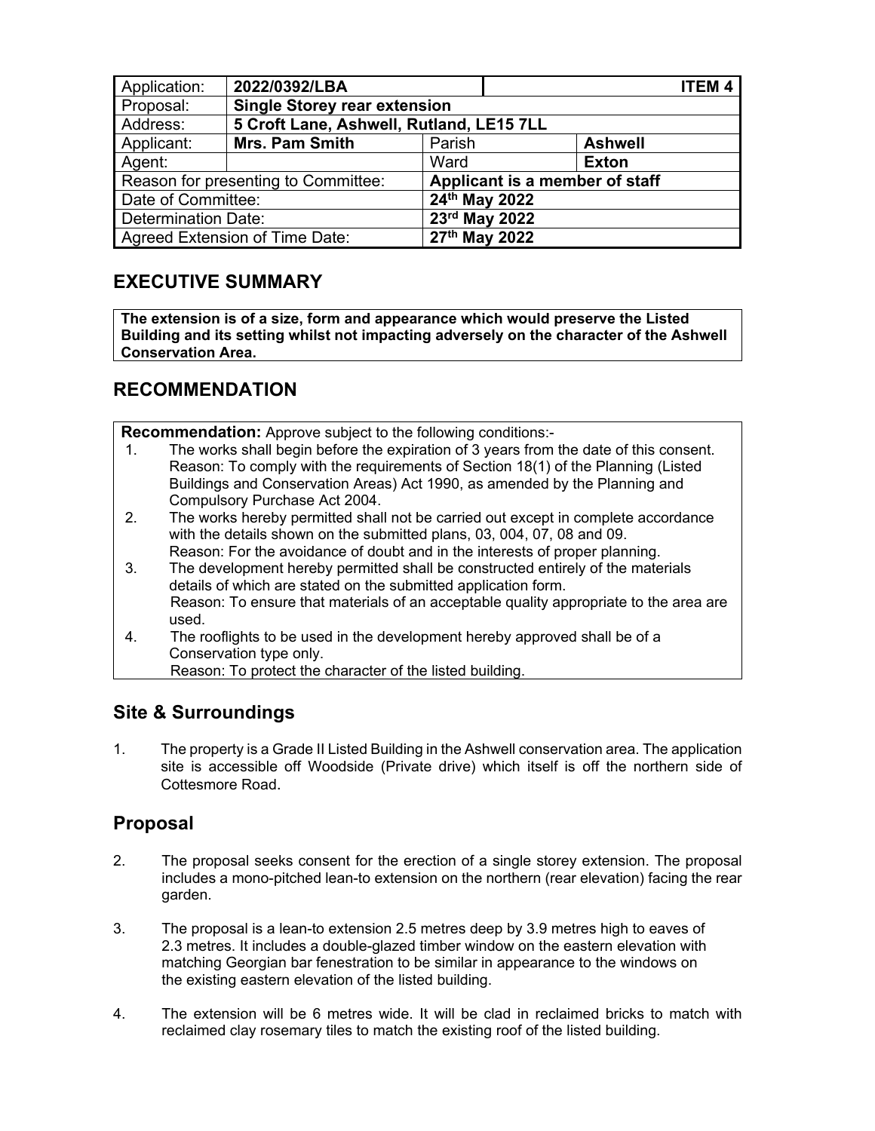| Application:                        | 2022/0392/LBA                            |                                |                | <b>ITEM4</b> |
|-------------------------------------|------------------------------------------|--------------------------------|----------------|--------------|
| Proposal:                           | <b>Single Storey rear extension</b>      |                                |                |              |
| Address:                            | 5 Croft Lane, Ashwell, Rutland, LE15 7LL |                                |                |              |
| Applicant:                          | <b>Mrs. Pam Smith</b>                    | Parish                         | <b>Ashwell</b> |              |
| Agent:                              |                                          | Ward                           | <b>Exton</b>   |              |
| Reason for presenting to Committee: |                                          | Applicant is a member of staff |                |              |
| Date of Committee:                  |                                          | 24th May 2022                  |                |              |
| Determination Date:                 |                                          | 23rd May 2022                  |                |              |
| Agreed Extension of Time Date:      |                                          | 27th May 2022                  |                |              |

# **EXECUTIVE SUMMARY**

**The extension is of a size, form and appearance which would preserve the Listed Building and its setting whilst not impacting adversely on the character of the Ashwell Conservation Area.** 

# **RECOMMENDATION**

**Recommendation:** Approve subject to the following conditions:-

- 1. The works shall begin before the expiration of 3 years from the date of this consent. Reason: To comply with the requirements of Section 18(1) of the Planning (Listed Buildings and Conservation Areas) Act 1990, as amended by the Planning and Compulsory Purchase Act 2004.
- 2. The works hereby permitted shall not be carried out except in complete accordance with the details shown on the submitted plans, 03, 004, 07, 08 and 09. Reason: For the avoidance of doubt and in the interests of proper planning.
- 3. The development hereby permitted shall be constructed entirely of the materials details of which are stated on the submitted application form. Reason: To ensure that materials of an acceptable quality appropriate to the area are used.
- 4. The rooflights to be used in the development hereby approved shall be of a Conservation type only.
	- Reason: To protect the character of the listed building.

# **Site & Surroundings**

1. The property is a Grade II Listed Building in the Ashwell conservation area. The application site is accessible off Woodside (Private drive) which itself is off the northern side of Cottesmore Road.

# **Proposal**

- 2. The proposal seeks consent for the erection of a single storey extension. The proposal includes a mono-pitched lean-to extension on the northern (rear elevation) facing the rear garden.
- 3. The proposal is a lean-to extension 2.5 metres deep by 3.9 metres high to eaves of 2.3 metres. It includes a double-glazed timber window on the eastern elevation with matching Georgian bar fenestration to be similar in appearance to the windows on the existing eastern elevation of the listed building.
- 4. The extension will be 6 metres wide. It will be clad in reclaimed bricks to match with reclaimed clay rosemary tiles to match the existing roof of the listed building.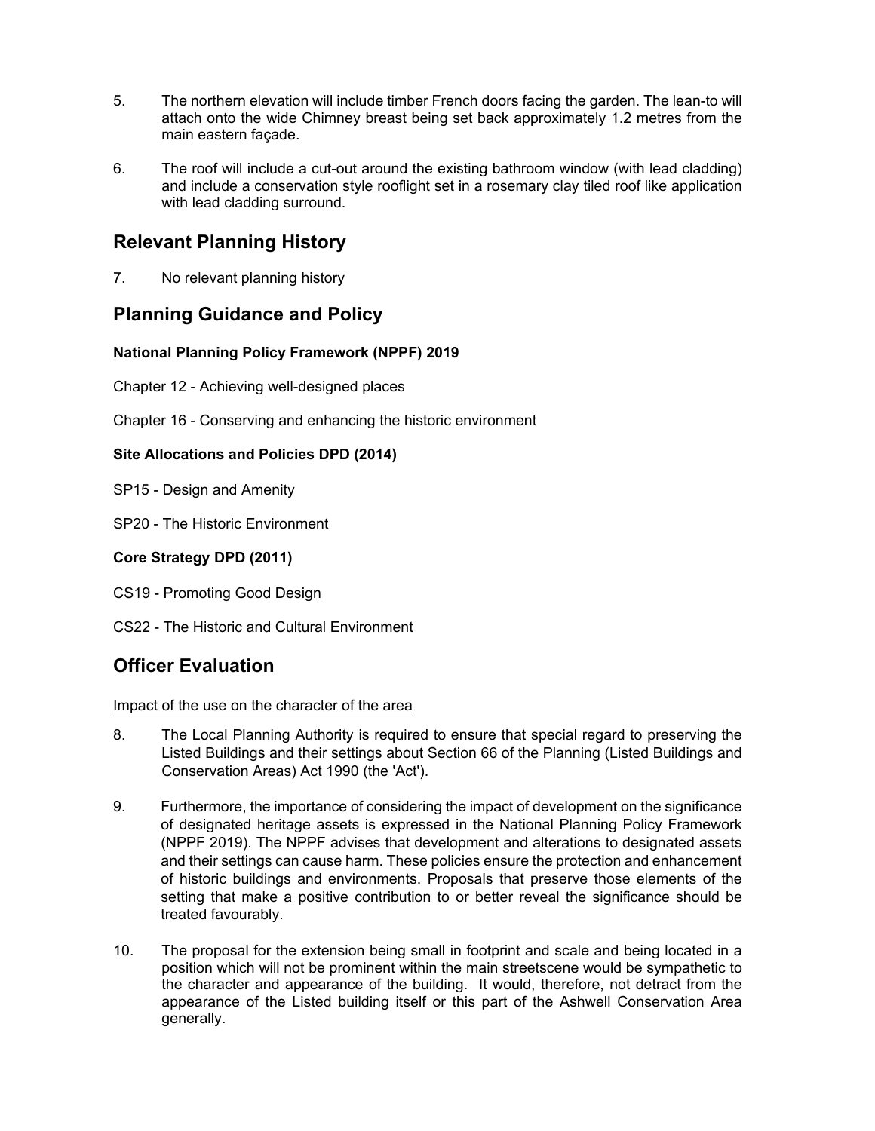- 5. The northern elevation will include timber French doors facing the garden. The lean-to will attach onto the wide Chimney breast being set back approximately 1.2 metres from the main eastern façade.
- 6. The roof will include a cut-out around the existing bathroom window (with lead cladding) and include a conservation style rooflight set in a rosemary clay tiled roof like application with lead cladding surround.

# **Relevant Planning History**

7. No relevant planning history

### **Planning Guidance and Policy**

### **National Planning Policy Framework (NPPF) 2019**

Chapter 12 - Achieving well-designed places

Chapter 16 - Conserving and enhancing the historic environment

#### **Site Allocations and Policies DPD (2014)**

- SP15 Design and Amenity
- SP20 The Historic Environment

### **Core Strategy DPD (2011)**

- CS19 Promoting Good Design
- CS22 The Historic and Cultural Environment

### **Officer Evaluation**

#### Impact of the use on the character of the area

- 8. The Local Planning Authority is required to ensure that special regard to preserving the Listed Buildings and their settings about Section 66 of the Planning (Listed Buildings and Conservation Areas) Act 1990 (the 'Act').
- 9. Furthermore, the importance of considering the impact of development on the significance of designated heritage assets is expressed in the National Planning Policy Framework (NPPF 2019). The NPPF advises that development and alterations to designated assets and their settings can cause harm. These policies ensure the protection and enhancement of historic buildings and environments. Proposals that preserve those elements of the setting that make a positive contribution to or better reveal the significance should be treated favourably.
- 10. The proposal for the extension being small in footprint and scale and being located in a position which will not be prominent within the main streetscene would be sympathetic to the character and appearance of the building. It would, therefore, not detract from the appearance of the Listed building itself or this part of the Ashwell Conservation Area generally.